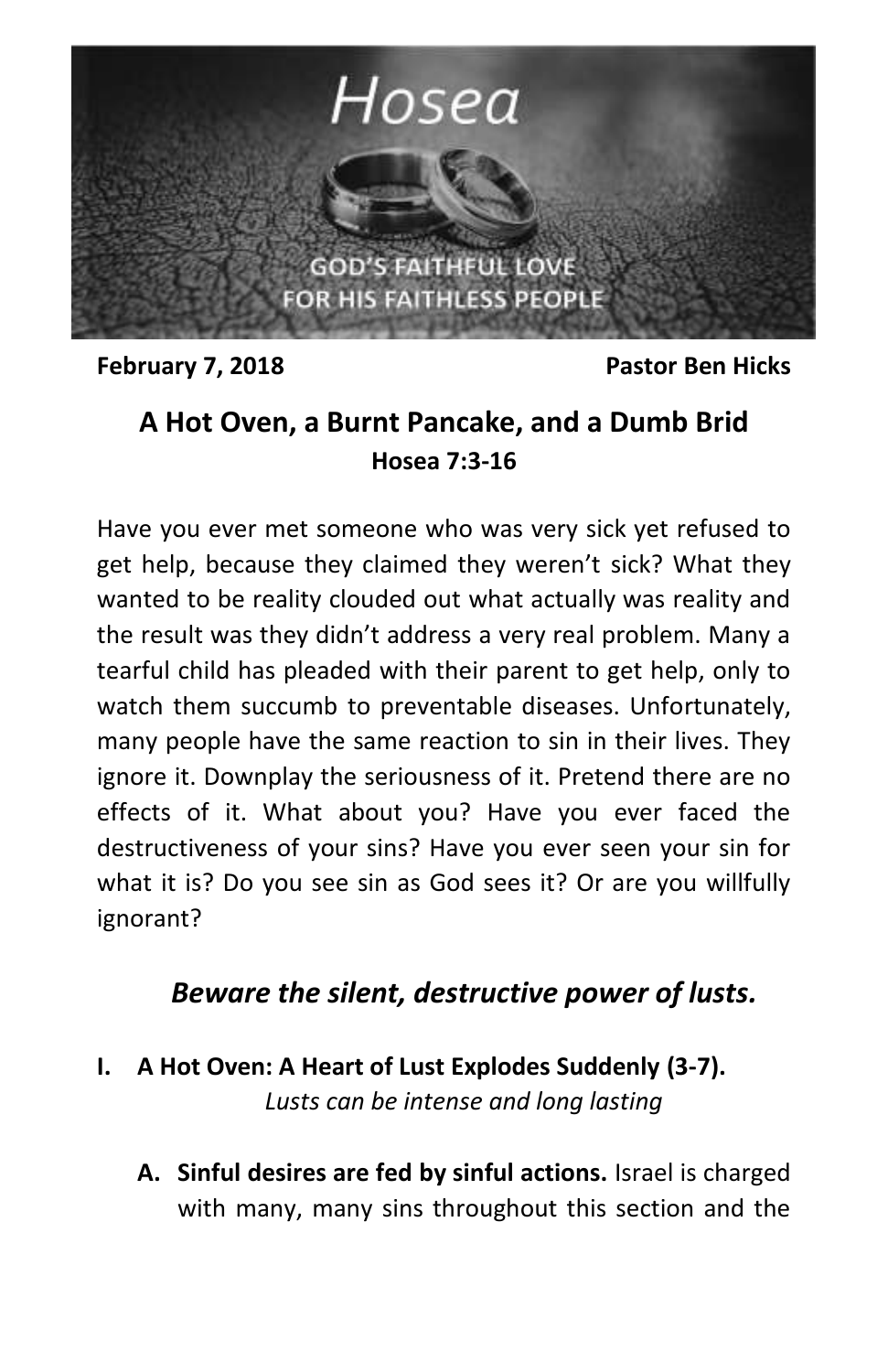

**February 7, 2018** Pastor Ben Hicks

## **A Hot Oven, a Burnt Pancake, and a Dumb Brid Hosea 7:3-16**

Have you ever met someone who was very sick yet refused to get help, because they claimed they weren't sick? What they wanted to be reality clouded out what actually was reality and the result was they didn't address a very real problem. Many a tearful child has pleaded with their parent to get help, only to watch them succumb to preventable diseases. Unfortunately, many people have the same reaction to sin in their lives. They ignore it. Downplay the seriousness of it. Pretend there are no effects of it. What about you? Have you ever faced the destructiveness of your sins? Have you ever seen your sin for what it is? Do you see sin as God sees it? Or are you willfully ignorant?

## *Beware the silent, destructive power of lusts.*

- **I. A Hot Oven: A Heart of Lust Explodes Suddenly (3-7).** *Lusts can be intense and long lasting*
	- **A. Sinful desires are fed by sinful actions.** Israel is charged with many, many sins throughout this section and the